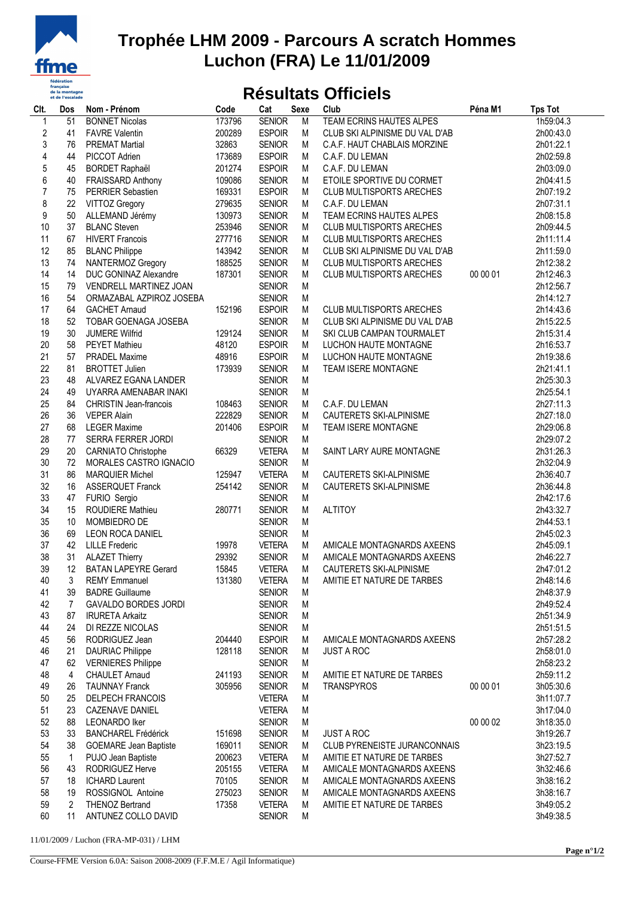

## **Trophée LHM 2009 - Parcours A scratch Hommes Luchon (FRA) Le 11/01/2009**

## **Résultats Officiels**

| Clt.                    | Dos | Nom - Prénom                  | Code   | Cat           | <b>Sexe</b> | Club                            | Péna M1  | <b>Tps Tot</b> |
|-------------------------|-----|-------------------------------|--------|---------------|-------------|---------------------------------|----------|----------------|
| 1                       | 51  | <b>BONNET Nicolas</b>         | 173796 | <b>SENIOR</b> | M           | TEAM ECRINS HAUTES ALPES        |          | 1h59:04.3      |
| $\overline{\mathbf{c}}$ | 41  | <b>FAVRE Valentin</b>         | 200289 | <b>ESPOIR</b> | M           | CLUB SKI ALPINISME DU VAL D'AB  |          | 2h00:43.0      |
| 3                       | 76  | <b>PREMAT Martial</b>         | 32863  | <b>SENIOR</b> | M           | C.A.F. HAUT CHABLAIS MORZINE    |          | 2h01:22.1      |
| 4                       | 44  | PICCOT Adrien                 | 173689 | <b>ESPOIR</b> | M           | C.A.F. DU LEMAN                 |          | 2h02:59.8      |
| 5                       | 45  | <b>BORDET Raphaël</b>         | 201274 | <b>ESPOIR</b> | M           | C.A.F. DU LEMAN                 |          | 2h03:09.0      |
| 6                       | 40  | FRAISSARD Anthony             | 109086 | <b>SENIOR</b> | M           | ETOILE SPORTIVE DU CORMET       |          | 2h04:41.5      |
| $\overline{7}$          | 75  | PERRIER Sebastien             | 169331 | <b>ESPOIR</b> | M           | CLUB MULTISPORTS ARECHES        |          | 2h07:19.2      |
| 8                       | 22  | <b>VITTOZ Gregory</b>         | 279635 | <b>SENIOR</b> | M           | C.A.F. DU LEMAN                 |          | 2h07:31.1      |
| 9                       | 50  | ALLEMAND Jérémy               | 130973 | <b>SENIOR</b> | M           | TEAM ECRINS HAUTES ALPES        |          | 2h08:15.8      |
| 10                      | 37  | <b>BLANC Steven</b>           | 253946 | <b>SENIOR</b> | M           | <b>CLUB MULTISPORTS ARECHES</b> |          | 2h09:44.5      |
| 11                      |     | <b>HIVERT Francois</b>        | 277716 | <b>SENIOR</b> | M           |                                 |          |                |
|                         | 67  |                               |        |               |             | <b>CLUB MULTISPORTS ARECHES</b> |          | 2h11:11.4      |
| 12                      | 85  | <b>BLANC Philippe</b>         | 143942 | <b>SENIOR</b> | M           | CLUB SKI ALPINISME DU VAL D'AB  |          | 2h11:59.0      |
| 13                      | 74  | NANTERMOZ Gregory             | 188525 | <b>SENIOR</b> | M           | <b>CLUB MULTISPORTS ARECHES</b> |          | 2h12:38.2      |
| 14                      | 14  | DUC GONINAZ Alexandre         | 187301 | <b>SENIOR</b> | M           | <b>CLUB MULTISPORTS ARECHES</b> | 00 00 01 | 2h12:46.3      |
| 15                      | 79  | VENDRELL MARTINEZ JOAN        |        | <b>SENIOR</b> | M           |                                 |          | 2h12:56.7      |
| 16                      | 54  | ORMAZABAL AZPIROZ JOSEBA      |        | <b>SENIOR</b> | M           |                                 |          | 2h14:12.7      |
| 17                      | 64  | <b>GACHET Arnaud</b>          | 152196 | <b>ESPOIR</b> | M           | <b>CLUB MULTISPORTS ARECHES</b> |          | 2h14:43.6      |
| 18                      | 52  | TOBAR GOENAGA JOSEBA          |        | <b>SENIOR</b> | M           | CLUB SKI ALPINISME DU VAL D'AB  |          | 2h15:22.5      |
| 19                      | 30  | <b>JUMERE Wilfrid</b>         | 129124 | <b>SENIOR</b> | M           | SKI CLUB CAMPAN TOURMALET       |          | 2h15:31.4      |
| 20                      | 58  | <b>PEYET Mathieu</b>          | 48120  | <b>ESPOIR</b> | M           | LUCHON HAUTE MONTAGNE           |          | 2h16:53.7      |
| 21                      | 57  | <b>PRADEL Maxime</b>          | 48916  | <b>ESPOIR</b> | M           | LUCHON HAUTE MONTAGNE           |          | 2h19:38.6      |
| 22                      | 81  | <b>BROTTET Julien</b>         | 173939 | <b>SENIOR</b> | M           | TEAM ISERE MONTAGNE             |          | 2h21:41.1      |
| 23                      | 48  | ALVAREZ EGANA LANDER          |        | <b>SENIOR</b> | M           |                                 |          | 2h25:30.3      |
| 24                      | 49  | UYARRA AMENABAR INAKI         |        | <b>SENIOR</b> | M           |                                 |          | 2h25:54.1      |
| 25                      | 84  | <b>CHRISTIN Jean-francois</b> | 108463 | <b>SENIOR</b> | M           | C.A.F. DU LEMAN                 |          | 2h27:11.3      |
| 26                      | 36  | <b>VEPER Alain</b>            | 222829 | <b>SENIOR</b> | M           | CAUTERETS SKI-ALPINISME         |          | 2h27:18.0      |
| 27                      | 68  | <b>LEGER Maxime</b>           | 201406 | <b>ESPOIR</b> | M           | TEAM ISERE MONTAGNE             |          | 2h29:06.8      |
| 28                      | 77  | SERRA FERRER JORDI            |        | <b>SENIOR</b> | M           |                                 |          | 2h29:07.2      |
| 29                      | 20  | CARNIATO Christophe           | 66329  | <b>VETERA</b> | M           | SAINT LARY AURE MONTAGNE        |          | 2h31:26.3      |
| 30                      | 72  | MORALES CASTRO IGNACIO        |        | <b>SENIOR</b> | M           |                                 |          | 2h32:04.9      |
| 31                      | 86  | <b>MARQUIER Michel</b>        | 125947 | <b>VETERA</b> | M           | CAUTERETS SKI-ALPINISME         |          | 2h36:40.7      |
| 32                      | 16  | <b>ASSERQUET Franck</b>       | 254142 | <b>SENIOR</b> | M           | CAUTERETS SKI-ALPINISME         |          | 2h36:44.8      |
| 33                      | 47  | FURIO Sergio                  |        | <b>SENIOR</b> | M           |                                 |          | 2h42:17.6      |
| 34                      | 15  | <b>ROUDIERE Mathieu</b>       | 280771 | <b>SENIOR</b> | M           | <b>ALTITOY</b>                  |          | 2h43:32.7      |
| 35                      | 10  | MOMBIEDRO DE                  |        | <b>SENIOR</b> | M           |                                 |          | 2h44:53.1      |
| 36                      | 69  | <b>LEON ROCA DANIEL</b>       |        | <b>SENIOR</b> | M           |                                 |          | 2h45:02.3      |
| 37                      | 42  | <b>LILLE</b> Frederic         | 19978  | <b>VETERA</b> | M           | AMICALE MONTAGNARDS AXEENS      |          | 2h45:09.1      |
| 38                      | 31  | <b>ALAZET Thierry</b>         | 29392  | <b>SENIOR</b> | M           | AMICALE MONTAGNARDS AXEENS      |          | 2h46:22.7      |
| 39                      | 12  | <b>BATAN LAPEYRE Gerard</b>   | 15845  | <b>VETERA</b> | M           | CAUTERETS SKI-ALPINISME         |          | 2h47:01.2      |
| 40                      |     | 3 REMY Emmanuel               | 131380 | <b>VETERA</b> | M           | AMITIE ET NATURE DE TARBES      |          | 2h48:14.6      |
| 41                      | 39  | <b>BADRE Guillaume</b>        |        | <b>SENIOR</b> | M           |                                 |          | 2h48:37.9      |
| 42                      | 7   | <b>GAVALDO BORDES JORDI</b>   |        | <b>SENIOR</b> | M           |                                 |          | 2h49:52.4      |
| 43                      | 87  | <b>IRURETA Arkaitz</b>        |        | <b>SENIOR</b> | M           |                                 |          | 2h51:34.9      |
| 44                      | 24  | DI REZZE NICOLAS              |        | <b>SENIOR</b> | М           |                                 |          | 2h51:51.5      |
| 45                      | 56  | RODRIGUEZ Jean                | 204440 | <b>ESPOIR</b> | M           | AMICALE MONTAGNARDS AXEENS      |          | 2h57:28.2      |
| 46                      | 21  | <b>DAURIAC Philippe</b>       | 128118 | <b>SENIOR</b> | M           | <b>JUST A ROC</b>               |          | 2h58:01.0      |
| 47                      | 62  | <b>VERNIERES Philippe</b>     |        | <b>SENIOR</b> | M           |                                 |          | 2h58:23.2      |
| 48                      |     | <b>CHAULET Arnaud</b>         | 241193 | <b>SENIOR</b> | M           | AMITIE ET NATURE DE TARBES      |          | 2h59:11.2      |
|                         | 4   |                               |        |               |             |                                 |          |                |
| 49                      | 26  | <b>TAUNNAY Franck</b>         | 305956 | <b>SENIOR</b> | M           | <b>TRANSPYROS</b>               | 00 00 01 | 3h05:30.6      |
| 50                      | 25  | <b>DELPECH FRANCOIS</b>       |        | <b>VETERA</b> | M           |                                 |          | 3h11:07.7      |
| 51                      | 23  | CAZENAVE DANIEL               |        | <b>VETERA</b> | M           |                                 |          | 3h17:04.0      |
| 52                      | 88  | <b>LEONARDO Iker</b>          |        | <b>SENIOR</b> | M           |                                 | 00 00 02 | 3h18:35.0      |
| 53                      | 33  | <b>BANCHAREL Frédérick</b>    | 151698 | <b>SENIOR</b> | M           | <b>JUST A ROC</b>               |          | 3h19:26.7      |
| 54                      | 38  | <b>GOEMARE Jean Baptiste</b>  | 169011 | <b>SENIOR</b> | M           | CLUB PYRENEISTE JURANCONNAIS    |          | 3h23:19.5      |
| 55                      | 1   | PUJO Jean Baptiste            | 200623 | <b>VETERA</b> | M           | AMITIE ET NATURE DE TARBES      |          | 3h27:52.7      |
| 56                      | 43  | RODRIGUEZ Herve               | 205155 | <b>VETERA</b> | M           | AMICALE MONTAGNARDS AXEENS      |          | 3h32:46.6      |
| 57                      | 18  | <b>ICHARD Laurent</b>         | 70105  | <b>SENIOR</b> | М           | AMICALE MONTAGNARDS AXEENS      |          | 3h38:16.2      |
| 58                      | 19  | ROSSIGNOL Antoine             | 275023 | <b>SENIOR</b> | M           | AMICALE MONTAGNARDS AXEENS      |          | 3h38:16.7      |
| 59                      | 2   | <b>THENOZ Bertrand</b>        | 17358  | <b>VETERA</b> | M           | AMITIE ET NATURE DE TARBES      |          | 3h49:05.2      |
| 60                      | 11  | ANTUNEZ COLLO DAVID           |        | <b>SENIOR</b> | M           |                                 |          | 3h49:38.5      |

11/01/2009 / Luchon (FRA-MP-031) / LHM